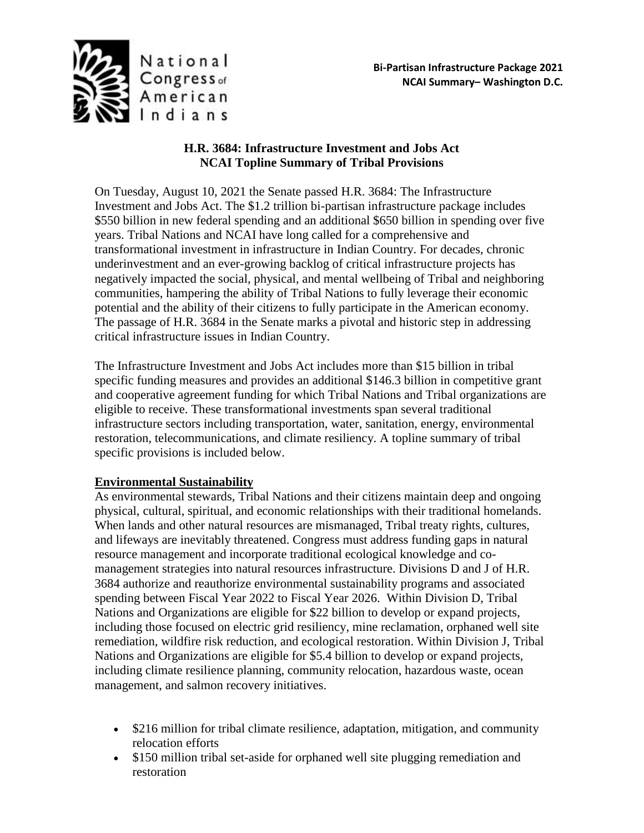

# **H.R. 3684: Infrastructure Investment and Jobs Act NCAI Topline Summary of Tribal Provisions**

On Tuesday, August 10, 2021 the Senate passed H.R. 3684: The Infrastructure Investment and Jobs Act. The \$1.2 trillion bi-partisan infrastructure package includes \$550 billion in new federal spending and an additional \$650 billion in spending over five years. Tribal Nations and NCAI have long called for a comprehensive and transformational investment in infrastructure in Indian Country. For decades, chronic underinvestment and an ever-growing backlog of critical infrastructure projects has negatively impacted the social, physical, and mental wellbeing of Tribal and neighboring communities, hampering the ability of Tribal Nations to fully leverage their economic potential and the ability of their citizens to fully participate in the American economy. The passage of H.R. 3684 in the Senate marks a pivotal and historic step in addressing critical infrastructure issues in Indian Country.

The Infrastructure Investment and Jobs Act includes more than \$15 billion in tribal specific funding measures and provides an additional \$146.3 billion in competitive grant and cooperative agreement funding for which Tribal Nations and Tribal organizations are eligible to receive. These transformational investments span several traditional infrastructure sectors including transportation, water, sanitation, energy, environmental restoration, telecommunications, and climate resiliency. A topline summary of tribal specific provisions is included below.

# **Environmental Sustainability**

As environmental stewards, Tribal Nations and their citizens maintain deep and ongoing physical, cultural, spiritual, and economic relationships with their traditional homelands. When lands and other natural resources are mismanaged, Tribal treaty rights, cultures, and lifeways are inevitably threatened. Congress must address funding gaps in natural resource management and incorporate traditional ecological knowledge and comanagement strategies into natural resources infrastructure. Divisions D and J of H.R. 3684 authorize and reauthorize environmental sustainability programs and associated spending between Fiscal Year 2022 to Fiscal Year 2026. Within Division D, Tribal Nations and Organizations are eligible for \$22 billion to develop or expand projects, including those focused on electric grid resiliency, mine reclamation, orphaned well site remediation, wildfire risk reduction, and ecological restoration. Within Division J, Tribal Nations and Organizations are eligible for \$5.4 billion to develop or expand projects, including climate resilience planning, community relocation, hazardous waste, ocean management, and salmon recovery initiatives.

- \$216 million for tribal climate resilience, adaptation, mitigation, and community relocation efforts
- \$150 million tribal set-aside for orphaned well site plugging remediation and restoration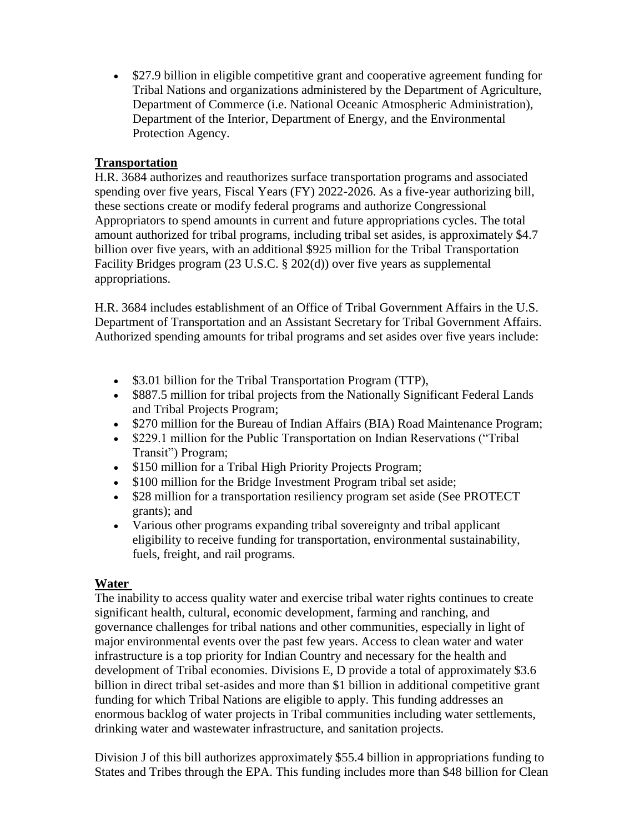• \$27.9 billion in eligible competitive grant and cooperative agreement funding for Tribal Nations and organizations administered by the Department of Agriculture, Department of Commerce (i.e. National Oceanic Atmospheric Administration), Department of the Interior, Department of Energy, and the Environmental Protection Agency.

### **Transportation**

H.R. 3684 authorizes and reauthorizes surface transportation programs and associated spending over five years, Fiscal Years (FY) 2022-2026. As a five-year authorizing bill, these sections create or modify federal programs and authorize Congressional Appropriators to spend amounts in current and future appropriations cycles. The total amount authorized for tribal programs, including tribal set asides, is approximately \$4.7 billion over five years, with an additional \$925 million for the Tribal Transportation Facility Bridges program (23 U.S.C. § 202(d)) over five years as supplemental appropriations.

H.R. 3684 includes establishment of an Office of Tribal Government Affairs in the U.S. Department of Transportation and an Assistant Secretary for Tribal Government Affairs. Authorized spending amounts for tribal programs and set asides over five years include:

- \$3.01 billion for the Tribal Transportation Program (TTP),
- \$887.5 million for tribal projects from the Nationally Significant Federal Lands and Tribal Projects Program;
- \$270 million for the Bureau of Indian Affairs (BIA) Road Maintenance Program;
- \$229.1 million for the Public Transportation on Indian Reservations ("Tribal Transit") Program;
- \$150 million for a Tribal High Priority Projects Program;
- \$100 million for the Bridge Investment Program tribal set aside;
- \$28 million for a transportation resiliency program set aside (See PROTECT) grants); and
- Various other programs expanding tribal sovereignty and tribal applicant eligibility to receive funding for transportation, environmental sustainability, fuels, freight, and rail programs.

# **Water**

The inability to access quality water and exercise tribal water rights continues to create significant health, cultural, economic development, farming and ranching, and governance challenges for tribal nations and other communities, especially in light of major environmental events over the past few years. Access to clean water and water infrastructure is a top priority for Indian Country and necessary for the health and development of Tribal economies. Divisions E, D provide a total of approximately \$3.6 billion in direct tribal set-asides and more than \$1 billion in additional competitive grant funding for which Tribal Nations are eligible to apply. This funding addresses an enormous backlog of water projects in Tribal communities including water settlements, drinking water and wastewater infrastructure, and sanitation projects.

Division J of this bill authorizes approximately \$55.4 billion in appropriations funding to States and Tribes through the EPA. This funding includes more than \$48 billion for Clean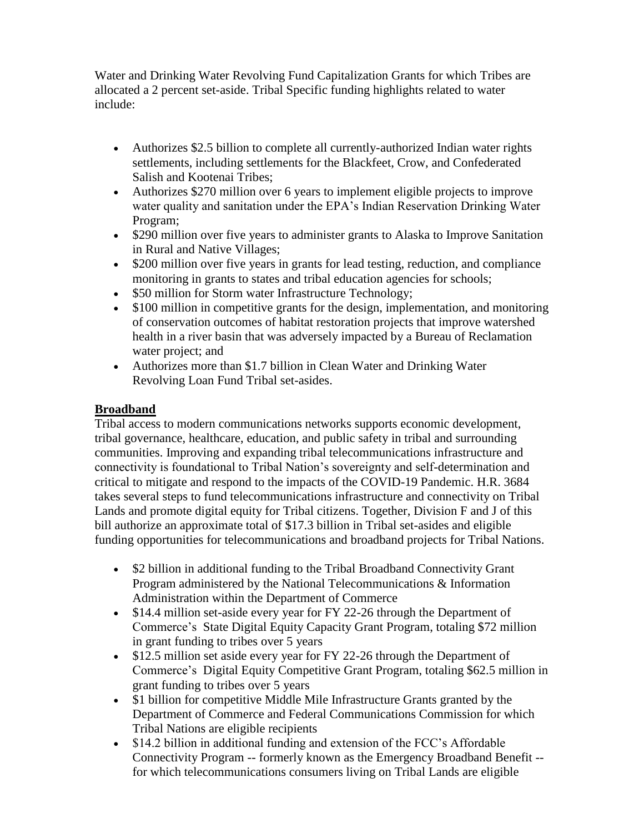Water and Drinking Water Revolving Fund Capitalization Grants for which Tribes are allocated a 2 percent set-aside. Tribal Specific funding highlights related to water include:

- Authorizes \$2.5 billion to complete all currently-authorized Indian water rights settlements, including settlements for the Blackfeet, Crow, and Confederated Salish and Kootenai Tribes;
- Authorizes \$270 million over 6 years to implement eligible projects to improve water quality and sanitation under the EPA's Indian Reservation Drinking Water Program;
- \$290 million over five years to administer grants to Alaska to Improve Sanitation in Rural and Native Villages;
- \$200 million over five years in grants for lead testing, reduction, and compliance monitoring in grants to states and tribal education agencies for schools;
- \$50 million for Storm water Infrastructure Technology;
- \$100 million in competitive grants for the design, implementation, and monitoring of conservation outcomes of habitat restoration projects that improve watershed health in a river basin that was adversely impacted by a Bureau of Reclamation water project; and
- Authorizes more than \$1.7 billion in Clean Water and Drinking Water Revolving Loan Fund Tribal set-asides.

# **Broadband**

Tribal access to modern communications networks supports economic development, tribal governance, healthcare, education, and public safety in tribal and surrounding communities. Improving and expanding tribal telecommunications infrastructure and connectivity is foundational to Tribal Nation's sovereignty and self-determination and critical to mitigate and respond to the impacts of the COVID-19 Pandemic. H.R. 3684 takes several steps to fund telecommunications infrastructure and connectivity on Tribal Lands and promote digital equity for Tribal citizens. Together, Division F and J of this bill authorize an approximate total of \$17.3 billion in Tribal set-asides and eligible funding opportunities for telecommunications and broadband projects for Tribal Nations.

- \$2 billion in additional funding to the Tribal Broadband Connectivity Grant Program administered by the National Telecommunications & Information Administration within the Department of Commerce
- \$14.4 million set-aside every year for FY 22-26 through the Department of Commerce's State Digital Equity Capacity Grant Program, totaling \$72 million in grant funding to tribes over 5 years
- \$12.5 million set aside every year for FY 22-26 through the Department of Commerce's Digital Equity Competitive Grant Program, totaling \$62.5 million in grant funding to tribes over 5 years
- \$1 billion for competitive Middle Mile Infrastructure Grants granted by the Department of Commerce and Federal Communications Commission for which Tribal Nations are eligible recipients
- \$14.2 billion in additional funding and extension of the FCC's Affordable Connectivity Program -- formerly known as the Emergency Broadband Benefit - for which telecommunications consumers living on Tribal Lands are eligible